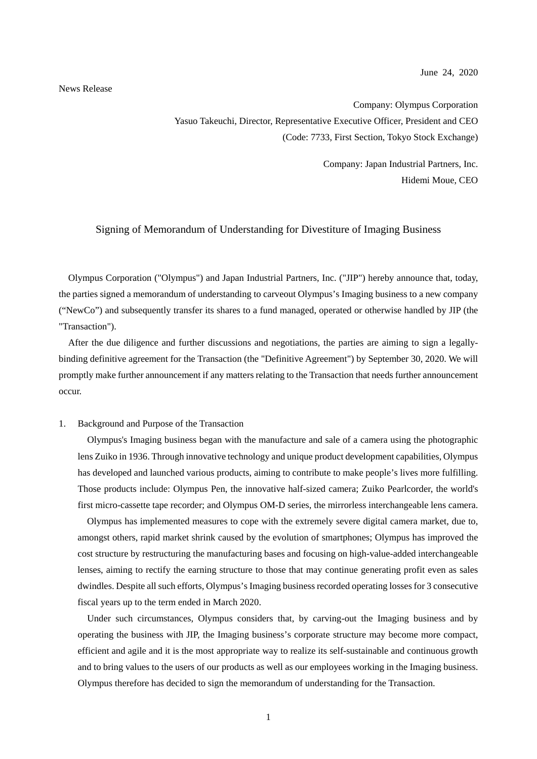June 24, 2020

#### News Release

Company: Olympus Corporation Yasuo Takeuchi, Director, Representative Executive Officer, President and CEO (Code: 7733, First Section, Tokyo Stock Exchange)

> Company: Japan Industrial Partners, Inc. Hidemi Moue, CEO

### Signing of Memorandum of Understanding for Divestiture of Imaging Business

Olympus Corporation ("Olympus") and Japan Industrial Partners, Inc. ("JIP") hereby announce that, today, the parties signed a memorandum of understanding to carveout Olympus's Imaging business to a new company ("NewCo") and subsequently transfer its shares to a fund managed, operated or otherwise handled by JIP (the "Transaction").

After the due diligence and further discussions and negotiations, the parties are aiming to sign a legallybinding definitive agreement for the Transaction (the "Definitive Agreement") by September 30, 2020. We will promptly make further announcement if any matters relating to the Transaction that needs further announcement occur.

## 1. Background and Purpose of the Transaction

Olympus's Imaging business began with the manufacture and sale of a camera using the photographic lens Zuiko in 1936. Through innovative technology and unique product development capabilities, Olympus has developed and launched various products, aiming to contribute to make people's lives more fulfilling. Those products include: Olympus Pen, the innovative half-sized camera; Zuiko Pearlcorder, the world's first micro-cassette tape recorder; and Olympus OM-D series, the mirrorless interchangeable lens camera.

Olympus has implemented measures to cope with the extremely severe digital camera market, due to, amongst others, rapid market shrink caused by the evolution of smartphones; Olympus has improved the cost structure by restructuring the manufacturing bases and focusing on high-value-added interchangeable lenses, aiming to rectify the earning structure to those that may continue generating profit even as sales dwindles. Despite all such efforts, Olympus's Imaging business recorded operating losses for 3 consecutive fiscal years up to the term ended in March 2020.

Under such circumstances, Olympus considers that, by carving-out the Imaging business and by operating the business with JIP, the Imaging business's corporate structure may become more compact, efficient and agile and it is the most appropriate way to realize its self-sustainable and continuous growth and to bring values to the users of our products as well as our employees working in the Imaging business. Olympus therefore has decided to sign the memorandum of understanding for the Transaction.